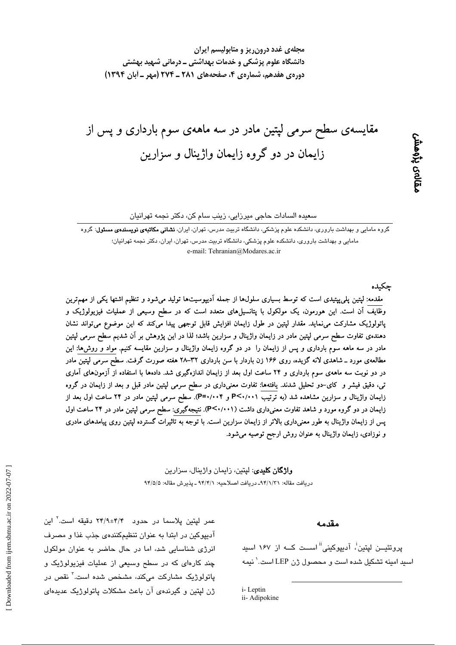مجلهی غدد درون ریز و متابولیسم ایران دانشگاه علوم پزشکی و خدمات بهداشتی ــ درمانی شهید بهشتی دورهي هفدهم، شمارهي ۴، صفحههاي ۲۸۱ ـ ۲۷۴ (مهر ـ أبان ۱۳۹۴)

مقایسهی سطح سرمی لپتین مادر در سه ماههی سوم بارداری و پس از زایمان در دو گروه زایمان واژینال و سزارین

سعيده السادات حاجي ميرزايي، زينب سام كن، دكتر نجمه تهرانيان

گروه مامایی و بهداشت باروری، دانشکده علوم پزشکی، دانشگاه تربیت مدرس، تهران، ایران، **نشانی مکاتبهی نویسندهی مسئول**: گروه مامایی و بهداشت باروری، دانشکده علوم پزشکی، دانشگاه تربیت مدرس، تهران، ایران، دکتر نجمه تهرانیان؛

e-mail: Tehranian@Modares.ac.ir

حكىدە

ىمالەى پڑەھش

مقدمه: لپتین پلیپپتیدی است که توسط بسیاری سلولها از جمله آدیپوسیتها تولید میشود و تنظیم اشتها یکی از مهمترین وظایف اَن است. این هورمون، یک مولکول با پتانسیل۱های متعدد است که در سطح وسیعی از عملیات فیزیولوژیک و پاتولوژیک مشارکت می نماید. مقدار لپتین در طول زایمان افزایش قابل توجهی پیدا میکند که این موضوع می تواند نشان دهندهی تفاوت سطح سرمی لپتین مادر در زایمان واژینال و سزارین باشد؛ لذا در این پژوهش بر آن شدیم سطح سرمی لپتین مادر در سه ماهه سوم بارداری و پس از زایمان را ً در دو گروه زایمان واژینال و سزارین مقایسه کنیم. مواد و روش۵ا: این مطالعهی مورد ـ شاهدی لانه گزیده، روی ۱۶۶ زن باردار با سن بارداری ۳۲–۲۸ هفته صورت گرفت. سطح سرمی لپتین مادر در دو نوبت سه ماههی سوم بارداری و ۲۴ ساعت اول بعد از زایمان اندازهگیری شد. دادهها با استفاده از آزمونهای آماری تی، دقیق فیشر و کای–دو تحلیل شدند. یافتهها: تفاوت معنیداری در سطح سرمی لپتین مادر قبل و بعد از زایمان در گروه زایمان واژینال و سزارین مشاهده شد (به ترتیب P<۰/۰۰۱ و P=۰/۰۰۴). سطح سرمی لپتین مادر در ۲۴ ساعت اول بعد از زایمان در دو گروه مورد و شاهد تفاوت معنیداری داشت (P<۰/۰۰۱). نتیجهگیری: سطح سرمی لپتین مادر در ۲۴ ساعت اول پس از زایمان واژینال به طور معنیداری بالاتر از زایمان سزارین است. با توجه به تاثیرات گسترده لپتین روی پیامدهای مادری و نوزادی، زایمان واژینال به عنوان روش ارجح توصیه میشود.

> **واژگان کلیدی**: لپتین، زایمان واژینال، سزارین دريافت مقاله: ٩۴/١/٣١- دريافت اصلاحيه: ٩۴/٢/١ ـ پذيرش مقاله: ٩۴/٥/٥

عمر لپتین پلاسما در حدود ۴/۴±۲/۹ دقیقه است.<sup>۲</sup> این

آدیپوکین در ابتدا به عنوان تنظیمکنندهی جذب غذا و مصرف

انرژی شناسایی شد، اما در حال حاضر به عنوان مولکول

چند کارهای که در سطح وسیعی از عملیات فیزیولوژیک و یاتولوژیک مشارکت مے<sub>،</sub>کند، مشخص شده است.<sup>۳</sup> نقص در

ژن لیتین و گیرندهی آن باعث مشکلات پاتولوژیک عدیدهای

#### مقدمه

پروتئیـــن لپتین<sup>!</sup>، آدیپوکینی<sup>!!</sup> اســـت کـــه از ۱۶۷ اسید اسبد امینه تشکیل شده است و محصول ژن LEP است.<sup>\</sup> نیمه

i-Leptin ii- Adipokine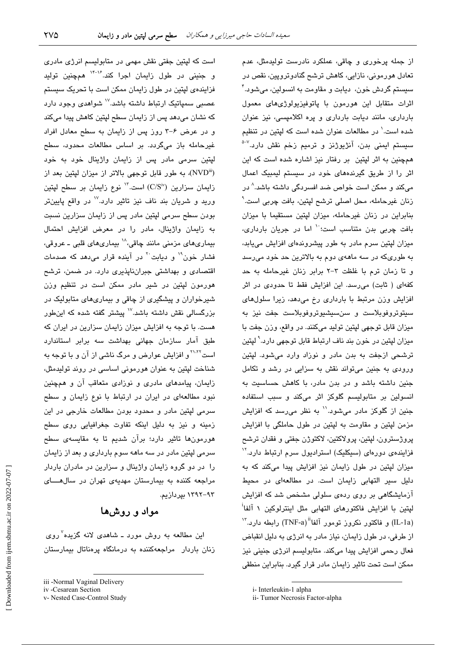است که لپتین جفتی نقش مهمی در متابولیسم انرژی مادری و جنینی در طول زایمان اجرا کند.<sup>۱۴-۱۶</sup> همچنین تولید فزاینده یایتین در طول زایمان ممکن است یا تحریک سیستم عصبی سمپاتیک ارتباط داشته باشد.<sup>۱۷</sup> شوا*هدی* وجود دارد که نشان میدهد پس از زایمان سطح لیتین کاهش پیدا میکند و در عرض ۶-۳ روز پس از زایمان به سطح معادل افراد غیرحامله باز میگردد. بر اساس مطالعات محدود، سطح لپتین سرمی مادر پس از زایمان واژینال خود به خود (NVD<sup>iii</sup>)، به طور قابل توجهی بالاتر از میزان لیتین بعد از زایمان سزارین (C/Siv) است. ۱۳ نوع زایمان بر سطح لپتین ورید و شریان بند ناف نیز تاثیر دارد.<sup>۷٬</sup> در واقع پایینتر بودن سطح سرمی لیتین مادر پس از زایمان سزارین نسبت به زایمان واژینال، مادر را در معرض افزایش احتمال بیماریهای مزمنی مانند چاقی،^` بیماریهای قلبی ـ عروقی، فشار خون" و دیایت <sup>۲</sup> در آینده قرار می دهد که صدمات اقتصادی و بهداشتی جبران ناپذیری دارد. در ضمن، ترشح هورمون لیتین در شیر مادر ممکن است در تنظیم وزن شیرخواران و پیشگیری از چاقی و بیماریهای متابولیک در بزرگسالی نقش داشته باشد.<sup>۱۷</sup> پیشتر گفته شده که اینطور هست. با توجه به افزایش میزان زایمان سزارین در ایران که طبق آمار سازمان جهانی بهداشت سه برابر استاندارد است<sup>۱٬۲۰۲</sup> و افزایش عوارض و مرگ ناشی از آن و با توجه به شناخت لپتین به عنوان هورمونی اساسی در روند تولیدمثل، زایمان، پیامدهای مادری و نوزادی متعاقب آن و همچنین نبود مطالعهای در ایران در ارتباط با نوع زایمان و سطح سرمی لپتین مادر و محدود بودن مطالعات خارجی در این زمینه و نیز به دلیل اینکه تفاوت جغرافیایی روی سطح هورمونها تاثیر دارد؛ برآن شدیم تا به مقایسهی سطح سرمی لیتین مادر در سه ماهه سوم بارداری و بعد از زایمان را ً در دو گروه زایمان واژینال و سزارین در مادران باردار مراجعه کننده به بیمارستان مهدیهی تهران در سال های ۹۳–۱۳۹۲ بیردازیم.

## مواد و روشها

این مطالعه به روش مورد ــ شاهدی لانه گزیده<sup>۷</sup>روی زنان باردار مراجعهکننده به درمانگاه پرهناتال بیمارستان

از جمله پرخوری و چاقی، عملکرد نادرست تولیدمثل، عدم تعادل هورمونی، نازایی، کاهش ترشح گنادوتروپین، نقص در سيستم گردش خون، ادبابت و مقاومت به انسولين، مے شود. ٔ اثرات متقابل این هورمون با پاتوفیزیولوژیهای معمول بارداری، مانند دیابت بارداری و پره اکلامیسی، نیز عنوان شده است.<sup>\</sup> در مطالعات عنوان شده است که لیتین در تنظیم سیستم ایمنی بدن، آنژیوژنز و ترمیم زخم نقش دارد.<sup>۷–۵</sup> همچنین به اثر لپتین بر رفتار نیز اشاره شده است که این اثر را از طریق گیرندههای خود در سیستم لیمبیک اعمال میکند و ممکن است خواص ضد افسردگی داشته باشد.<sup>۸</sup> در زنان غيرحامله، محل اصلی ترشح لپتين، بافت چربی است.<sup>۹</sup> بنابراین در زنان غیرجامله، میزان لیتین مستقیما یا میزان بافت چربی بدن متناسب است؛<sup>۱۰</sup> اما در جریان بارداری، میزان لپتین سرم مادر به طور پیشروندهای افزایش میپابد، به طوریکه در سه ماههی دوم به بالاترین حد خود می رسد و تا زمان ترم با غلظت ٣-٢ برابر زنان غیرحامله به حد کفهای ( ثابت) می رسد. این افزایش فقط تا حدودی در اثر افزایش وزن مرتبط با بارداری رخ میدهد، زیرا سلولهای سیتوتروفوبلاست و سنسیشیوتروفوبلاست جفت نیز به ميزان قابل توجهي لپتين توليد ميكنند. در واقع، وزن جفت با ميزان ليتين در خون بند ناف ارتباط قابل توجهي دارد. ْ ليتين ترشحی ازجفت به بدن مادر و نوزاد وارد میشود. لپتین ورودی به جنین میتواند نقش به سزایی در رشد و تکامل جنین داشته باشد و در بدن مادر، با کاهش حساسیت به انسولین بر متابولیسم گلوکز اثر میکند و سبب استفاده جنین از گلوکز مادر میشود.'' به نظر میرسد که افزایش مزمن لپتین و مقاومت به لپتین در طول حاملگی با افزایش پروژسترون، لپتین، پرولاکتین، لاکتوژن جفتی و فقدان ترشح فزایندهی دورهای (سیکلیک) استرادیول سرم ارتباط دارد.<sup>۱۲</sup> میزان لپتین در طول زایمان نیز افزایش پیدا میکند که به دلیل سیر التهابی زایمان است. در مطالعهای در محیط آزمایشگاهی بر روی ردهی سلولی مشخص شد که افزایش ليتين با افزايش فاكتورهاى التهابي مثل اينترلوكين ١ آلفا<sup>!</sup> (IL-1a) و فاكتور نكروز تومور آلفا<sup>11</sup>(TNF-a) رابطه دارد.<sup>7۲</sup> از طرفی، در طول زایمان، نیاز مادر به انرژی به دلیل انقباض فعال رحمي افزايش پيدا ميكند. متابوليسم انرژي جنيني نيز ممکن است تحت تاثیر زایمان مادر قرار گیرد. بنابراین منطقی

iii -Normal Vaginal Delivery

iv -Cesarean Section

v- Nested Case-Control Study

i- Interleukin-1 alpha

ii- Tumor Necrosis Factor-alpha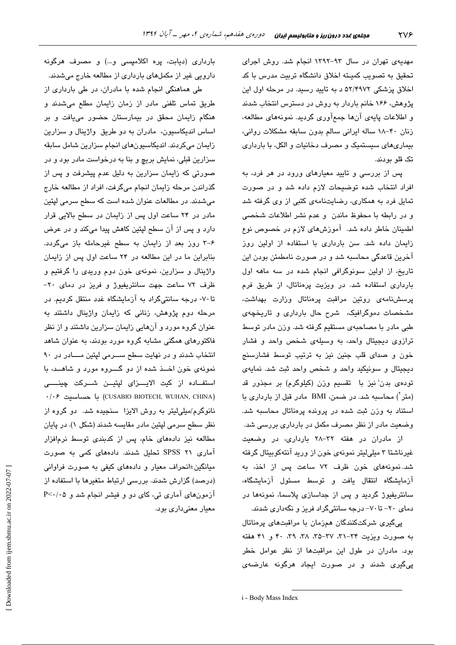مهدیهی تهران در سال ۹۳-۱۳۹۲ انجام شد. روش اجرای تحقيق به تصويب كميـته اخلاق دانشگاه تربيت مدرس با كد اخلاق پزشکی ۵۲/۴۹۷۲ د به تایید رسید. در مرحله اول این پژوهش، ۱۶۶ خانم باردار به روش در دسترس انتخاب شدند و اطلاعات پایهی آنها جمعآوری گردید. نمونههای مطالعه، زنان ۴۰-۱۸ ساله ایرانی سالم بدون سابقه مشکلات روانی، بیماریهای سیستمیک و مصرف دخانیات و الکل، با بارداری تک قلو بودند.

پس از بررسی و تایید معیارهای ورود در هر فرد، به افراد انتخاب شده توضیحات لازم داده شد و در صورت تمایل فرد به همکاری، رضایتنامهی کتبی از وی گرفته شد و در رابطه با محفوظ ماندن و عدم نشر اطلاعات شخصی اطمینان خاطر داده شد. آموزشهای لازم در خصوص نوع زایمان داده شد. سن بارداری با استفاده از اولین روز آخرین قاعدگی محاسبه شد و در صورت نامطمئن بودن این تاریخ، از اولین سونوگرافی انجام شده در سه ماهه اول بارداری استفاده شد. در ویزیت پرهناتال، از طریق فرم پرسشنامهى روتين مراقبت پرمناتال وزارت بهداشت، مشخصات دموگرافیک، شرح حال بارداری و تاریخچهی طبی مادر با مصاحبهی مستقیم گرفته شد. وزن مادر توسط ترازوی دیجیتال واحد، به وسیلهی شخص واحد و فشار خون و صدای قلب جنین نیز به ترتیب توسط فشارسنج ديجيتال و سونيكيد واحد و شخص واحد ثبت شد. نمايهى تودهی بدن<sup>:</sup> نیز با تقسیم وزن (کیلوگرم) بر مجذور قد (متر) محاسبه شد. در ضمن، BMI مادر قبل از بارداری با استناد به وزن ثبت شده در پرونده پرهناتال محاسبه شد. وضعیت مادر از نظر مصرف مکمل در بارداری بررسی شد.

از مادران در هفته ٣٢–٢٨ بارداری، در وضعیت غیرناشتا ۳ میلی لیتر نمونهی خون از ورید آنتهکوبیتال گرفته شد. نمونههای خون ظرف ۷۲ ساعت پس از اخذ، به آزمایشگاه انتقال یافت و توسط مسئول آزمایشگاه، سانتریفیوژ گردید و پس از جداسازی پلاسما، نمونهها در دمای ۲۰– تا ۷۰- درجه سانتیگراد فریز و نگهداری شدند.

پیگیری شرکتکنندگان همزمان با مراقبتهای پرهناتال به صورت ویزیت ۳۴–۳۱، ۳۷–۳۵، ۳۸، ۳۹، ۴۰ و ۴۱ هفته بود. مادران در طول این مراقبتها از نظر عوامل خطر ییگیری شدند و در صورت ایجاد هرگونه عارضهی

بارداری (دیابت، پره اکلامپسی و…) و مصرف هرگونه دارویی غیر از مکملهای بارداری از مطالعه خارج میشدند.

طی هماهنگی انجام شده با مادران، در طی بارداری از طریق تماس تلفنی مادر از زمان زایمان مطلع میشدند و هنگام زایمان محقق در بیمارستان حضور مییافت و بر اساس اندیکاسیون، مادران به دو طریق واژینال و سزارین زايمان مىكردند. انديكاسيون هاى انجام سزارين شامل سابقه سزارین قبلی، نمایش بریچ و بنا به درخواست مادر بود و در صورتی که زایمان سزارین به دلیل عدم پیشرفت و پس از گذراندن مرحله زایمان انجام میگرفت، افراد از مطالعه خارج میشدند. در مطالعات عنوان شده است که سطح سرمی لپتین مادر در ۲۴ ساعت اول پس از زایمان در سطح بالایی قرار دارد و پس از آن سطح لپتین کاهش پیدا میکند و در عرض ۶-۳ روز بعد از زایمان به سطح غیرحامله باز میگردد. بنابراین ما در این مطالعه در ۲۴ ساعت اول پس از زایمان واژینال و سزارین، نمونهی خون دوم وریدی را گرفتیم و ظرف ۷۲ ساعت جهت سانتریفیوژ و فریز در دمای ۲۰-تا ۷۰- درجه سانتیگراد به آزمایشگاه غدد منتقل کردیم. در مرحله دوم پژوهش، زنانی که زایمان واژینال داشتند به عنوان گروه مورد و آنهایی زایمان سزارین داشتند و از نظر فاکتورهای همگنی مشابه گروه مورد بودند، به عنوان شاهد انتخاب شدند و در نهایت سطح سـرمی لپتین مـادر در ٩٠ نمونهی خون اخــذ شده از دو گــــروه مورد و شاهـــد، با استفــاده از کیت الایـــزای لپتیــن شــرکت چینــــی (CUSABIO BIOTECH, WUHAN, CHINA) با حساسيت ۰/۰۶ نانوگرم/میلیلیتر به روش الایزا سنجیده شد. دو گروه از نظر سطح سرمی لپتین مادر مقایسه شدند (شکل ۱). در پایان مطالعه نیز دادههای خام، پس از کدبندی توسط نرمافزار آماری ۲۱ SPSS تحلیل شدند. دادههای کمی به صورت میانگین±انحراف معیار و دادههای کیفی به صورت فراوانی (درصد) گزارش شدند. بررسی ارتباط متغیرها با استفاده از آزمونهای آماری تی، کای دو و فیشر انجام شد و P<۰/۰۵ معیار معنیداری بود.

i - Body Mass Index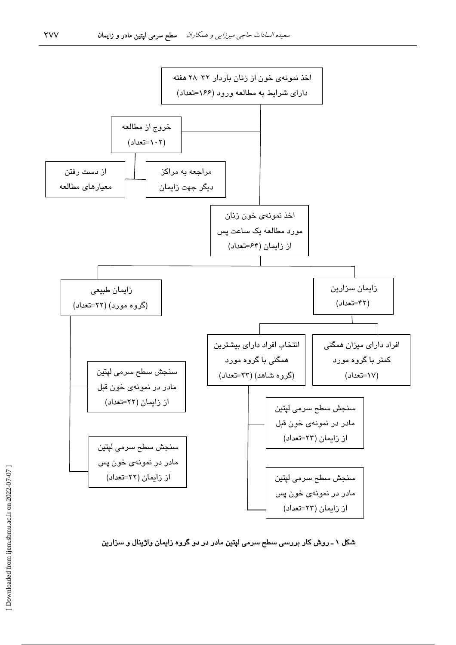

شکل ۱ ـ روش کار بررسی سطح سرمی لپتین مادر در دو گروه زایمان واژینال و سزارین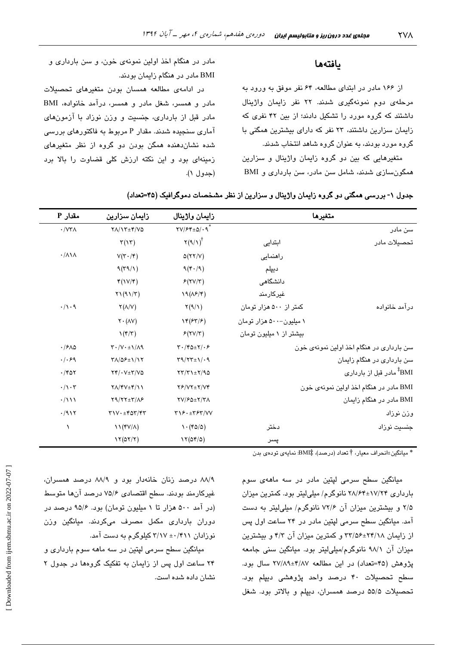### بافتهها

از ۱۶۶ مادر در ابتدای مطالعه، ۶۴ نفر موفق به ورود به مرحلهی دوم نمونهگیری شدند. ۲۲ نفر زایمان واژینال داشتند که گروه مورد را تشکیل دادند؛ از بین ۴۲ نفری که زایمان سزارین داشتند، ۲۳ نفر که دارای بیشترین همگنی با گروه مورد پودند، به عنوان گروه شاهد انتخاب شدند.

متغیرهایی که بین دو گروه زایمان واژینال و سزارین همگون سازی شدند، شامل سن مادر، سن بارداری و BMI

مادر در هنگام اخذ اولین نمونهی خون، و سن بارداری و BMI مادر در هنگام زایمان بودند.

در ادامهی مطالعه همسان بودن متغیرهای تحصیلات مادر و همسر، شغل مادر و همسر، درآمد خانواده، BMI مادر قبل از بارداری، جنسیت و وزن نوزاد با آزمونهای آماری سنجیده شدند. مقدار P مربوط به فاکتورهای بررسی شده نشان دهنده همگن بودن دو گروه از نظر متغیرهای زمینهای بود و این نکته ارزش کلی قضاوت را بالا برد  $( \wedge )$  (حدول ١).

| مقدار P                       | زایمان سزارین                                                                   | زايمان واژينال                                                             | متغيرها                                  |               |
|-------------------------------|---------------------------------------------------------------------------------|----------------------------------------------------------------------------|------------------------------------------|---------------|
| $\cdot$ / $\forall$ ۳ $\land$ | $Y/\Upsilon + \Upsilon/\Upsilon$                                                | $\Upsilon V / F f \pm \Delta / \cdot \mathcal{A}^*$                        |                                          | سن مادر       |
|                               | $\mathbf{\tau}(\mathbf{v})$                                                     | $\Upsilon(9/1)^{\dagger}$                                                  | ابتدایی                                  | تحصيلات مادر  |
| $\cdot/\lambda\lambda$        | $V(\tau \cdot / \tau)$                                                          | $\Delta(YY/V)$                                                             | راهنمایی                                 |               |
|                               | 9(T9/1)                                                                         | 9(F·9)                                                                     | ديپلم                                    |               |
|                               | $\mathfrak{r}(\mathcal{N}/\mathfrak{r})$                                        | F(YV/T)                                                                    | دانشگاهی                                 |               |
|                               | $\gamma$ (91/ $\gamma$ )                                                        | 19(NF/F)                                                                   | غيركارمند                                |               |
| $\cdot/\wedge\cdot\varphi$    | $\Upsilon(\Lambda/V)$                                                           | $\Upsilon(9/1)$                                                            | کمتر از ۵۰۰ هزار تومان                   | درآمد خانواده |
|                               | $\mathsf{Y} \cdot (\mathsf{AV})$                                                | $\Upsilon(\mathcal{F}\mathcal{T}/\mathcal{F})$                             | ۱ میلیون-۵۰۰ هزار تومان                  |               |
|                               | $\mathcal{N}(\mathfrak{r}/\mathfrak{r})$                                        | F(YV/T)                                                                    | بیشتر از ۱ میلیون تومان                  |               |
| .15A0                         | $\Upsilon \cdot /V \cdot \pm \Upsilon / \Lambda$                                | $\mathbf{Y} \cdot (\mathbf{Y} \mathbf{Q} \pm \mathbf{Y}) \cdot \mathbf{P}$ | سن بارداری در هنگام اخذ اولین نمونهی خون |               |
| . / . 99                      | <b>TA/QF±1/17</b>                                                               | $\Upsilon$ 9/ $\Upsilon$ $\Upsilon$ $\pm$ 1/ $\cdot$ 9                     | سن بارداری در هنگام زایمان               |               |
| $\cdot$ /۴۵۲                  | $YY/\cdot V\pm Y/V\Delta$                                                       | $\tau\tau/\tau\rightarrow\pm\tau/9\omega$                                  | BMI <sup>‡</sup> مادر قبل از بارداری     |               |
| $\cdot/\cdot$ ۳               | $Y\Lambda/YV\pm Y/\Upsilon$                                                     | $Y$ / $Y$ $Y$ $\pm$ $Y$ / $Y$ $Y$                                          | BMI مادر در هنگام اخذ اولین نمونهی خون   |               |
| $\cdot/111$                   | $Y9/YY\pm Y/\Lambda P$                                                          | <b>TV/FQ±Y/TA</b>                                                          | BMI مادر در هنگام زایمان                 |               |
| .7917                         | $\Upsilon$ \ V $\cdot$ $\pm$ $\Upsilon$ $\Delta \Upsilon$ / $\Upsilon \Upsilon$ | $Y \setminus F \cdot \pm Y F Y / V V$                                      |                                          | وزن نوزاد     |
| ١                             | $\mathcal{N}(\mathfrak{f}V/\Lambda)$                                            | $\mathcal{N} \cdot (\mathfrak{r} \mathfrak{0}/\mathfrak{0})$               | دختر                                     | جنسیت نوزاد   |
|                               | 17(07/7)                                                                        | 17(09/0)                                                                   | پسر                                      |               |

جدول ۱- بررسی همگنی دو گروه زایمان واژینال و سزارین از نظر مشخصات دموگرافیک (۴۵=تعداد)

\* ميانگين±انحراف معيار، † تعداد (درصد)، #BMI: نمايهي تودهي بدن

میانگین سطح سرمی لپتین مادر در سه ماههی سوم بارداری ۲۸/۶۴±۲۸/۶۴ نانوگرم/ میلیلیتر بود. کمترین میزان ۲/۵ و پیشترین میزان آن ۷۲/۶ نانوگرم/ میلی لیتر به دست آمد. میانگین سطح سرمی لپتین مادر در ۲۴ ساعت اول پس از زایمان ۲۴/۱۸±۲۴/۵۶ و کمترین میزان آن ۴/۳ و بیشترین میزان آن ۹۸/۱ نانوگرم/میلی لیتر بود. میانگین سنی جامعه پژوهش (۴۵=تعداد) در این مطالعه ۴/۸۷±۲۷/۸۹ سال بود. سطح تحصیلات ۴۰ درصد واحد پژوهشی دیپلم بود. تحصيلات ۵۵/۵ درصد همسران، ديپلم و بالاتر بود. شغل

٨٨/٩ درصد زنان خانهدار بود و ٨٨/٩ درصد همسران، غیرکارمند بودند. سطح اقتصادی ۷۵/۶ درصد آنها متوسط (در آمد ۵۰۰ هزار تا ۱ میلیون تومان) بود. ۹۵/۶ درصد در دوران بارداری مکمل مصرف میکردند. میانگین وزن نوزادان ۴۱۱/۰± ۳/۱۷ کیلوگرم به دست آمد.

مبانگین سطح سرمی لیتین در سه ماهه سوم بارداری و ۲۴ ساعت اول پس از زایمان به تفکیک گروهها در جدول ۲ نشان داده شده است.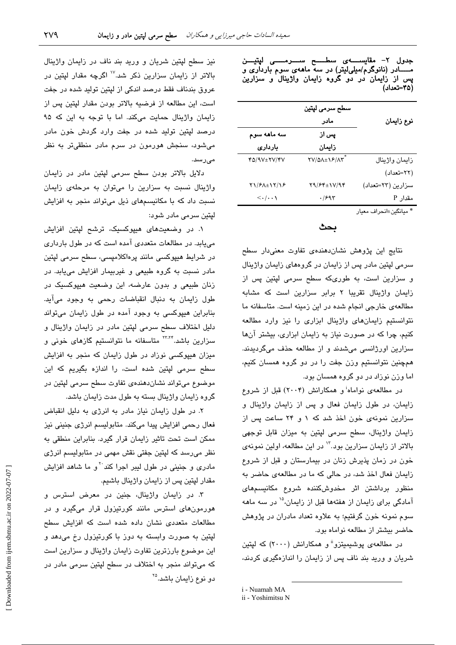|             |                                                                                                     | (۴۵–تعداد)     |
|-------------|-----------------------------------------------------------------------------------------------------|----------------|
|             | سطح سرمى لپتين                                                                                      |                |
|             | مادر                                                                                                | نوع زايمان     |
| سه ماهه سوم | پس از                                                                                               |                |
| باردارى     | زايمان                                                                                              |                |
| FQ/9V±YV/FV | $\mathsf{Y} \mathsf{V} / \mathsf{Q} \mathsf{A} \pm \mathsf{V} \mathsf{P} / \mathsf{A} \mathsf{Y}^*$ | زايمان واژينال |

جدول ۲– مقایســـــهی سطــــــح ســــــرمــــــی لپتیــــن<br>مـــــــادر (نانوگرم/میلی[یتر) در سه ماههی سوم بارداری و پس از زایمان در دو گروه زایمان واژینال و سزارین

\* مبانگين±انجراف معبار

سزارين (٢٣=تعداد)

(٢٢=تعداد)

مقدار P

بحث

 $Y9/FY \pm 1V/9Y$ 

 $.1997$ 

 $Y1/F\Lambda \pm 17/18$ 

 $\langle \cdot | \cdot \cdot \rangle$ 

نتایج این پژوهش نشاندهندهی تفاوت معنیدار سطح سرمی لیتین مادر پس از زایمان در گروههای زایمان واژینال و سزارین است، به طوریکه سطح سرمی لپتین پس از زایمان واژینال تقریبا ۲ برابر سزارین است که مشابه مطالعهی خارجی انجام شده در این زمینه است. متاسفانه ما نتوانستیم زایمانهای واژینال ابزاری را نیز وارد مطالعه کنیم، چرا که در صورت نیاز به زایمان ابزاری، بیشتر آنها سزارین اورژانسی میشدند و از مطالعه حذف میگردیدند. همچنین نتوانستیم وزن جفت را در دو گروه همسان کنیم، اما وزن نوزاد در دو گروه همسان بود.

در مطالعهی نواماه<sup>ن</sup>و همکارانش (۲۰۰۴) قبل از شروع زایمان، در طول زایمان فعال و پس از زایمان واژینال و سزارین نمونهی خون اخذ شد که ۱ و ۲۴ ساعت پس از زایمان واژینال، سطح سرمی لیتین به میزان قابل توجهی بالاتر از زایمان سزارین بود."' در این مطالعه، اولین نمونهی خون در زمان پذیرش زنان در بیمارستان و قبل از شروع زایمان فعال اخذ شد، در حال*ی* که ما در مطالعهی حاضر به منظور برداشتن اثر مخدوشكننده شروع مكانيسمهاى آمادگی برای زایمان از هفتهها قبل از زایمان،<sup>۱۵</sup> در سه ماهه سوم نمونه خون گرفتیم؛ به علاوه تعداد مادران در پژوهش حاضر بیشتر از مطالعه نواماه بود.

در مطالعهی پوشیمیتزو<sup>ii</sup> و همکارانش (۲۰۰۰) که لپتین شریان و ورید بند ناف پس از زایمان را اندازهگیری کردند،

نیز سطح لپتین شریان و ورید بند ناف در زایمان واژینال بالاتر از زایمان سزارین ذکر شد.<sup>۱۷</sup> اگرچه مقدار لپتین در عروق بندناف فقط درصد اندکی از لیتین تولید شده در جفت است، این مطالعه از فرضیه بالاتر بودن مقدار لپتین پس از زایمان واژینال حمایت میکند. اما با توجه به این که ۹۵ درصد لیتین تولید شده در جفت وارد گردش خون مادر میشود، سنجش هورمون در سرم مادر منطقیتر به نظر مىرسد.

دلایل بالاتر بودن سطح سرمی لپتین مادر در زایمان واژینال نسبت به سزارین را میتوان به مرحلهی زایمان نسبت داد که با مکانیسمهای ذیل می تواند منجر به افزایش لیتین سرمے مادر شود:

۱. در وضعیتهای هیپوکسیک، ترشح لپتین افزایش می یابد. در مطالعات متعددی آمده است که در طول بارداری در شرايط هيپوكسى مانند پرەاكلاميسى، سطح سرمى ليتين مادر نسبت به گروه طبیعی و غیربیمار افزایش مییابد. در زنان طبیعی و بدون عارضه، این وضعیت هیپوکسیک در طول زايمان به دنبال انقباضات رحمى به وجود مى آيد. بنابراین هیپوکسی به وجود آمده در طول زایمان میتواند دلیل اختلاف سطح سرمی لپتین مادر در زایمان واژینال و سزارین باشد.<sup>۲۲٬۲۴</sup> متاسفانه ما نتوانستیم گازهای خونی و میزان هیپوکسی نوزاد در طول زایمان که منجر به افزایش سطح سرمی لپتین شده است، را اندازه بگیریم که این موضوع میتواند نشان دهندهی تفاوت سطح سرمی لپتین در گروه زایمان واژینال بسته به طول مدت زایمان باشد.

٢. در طول زايمان نياز مادر به انرژى به دليل انقباض فعال رحمي افزايش پيدا ميكند. متابوليسم انرژي جنيني نيز ممکن است تحت تاثیر زایمان قرار گیرد. بنابراین منطقی به نظر میرسد که لپتین جفتی نقش مهمی در متابولیسم انرژی مادری و جنینی در طول لیبر اجرا کند<sup>۲۰</sup>و ما شاهد افزایش مقدار لپتين پس از زايمان واژينال باشيم.

۳. در زایمان واژینال، جنین در معرض استرس و هورمونهای استرس مانند کورتیزول قرار میگیرد و در مطالعات متعددی نشان داده شده است که افزایش سطح لپتین به صورت وابسته به دوز با کورتیزول رخ میدهد و این موضوع بارزترین تفاوت زایمان واژینال و سزارین است که میتواند منجر به اختلاف در سطح لیتین سرمی مادر در دو نوع زایمان باشد.<sup>۲۵</sup>

i - Nuamah MA

ii - Yoshimitsu N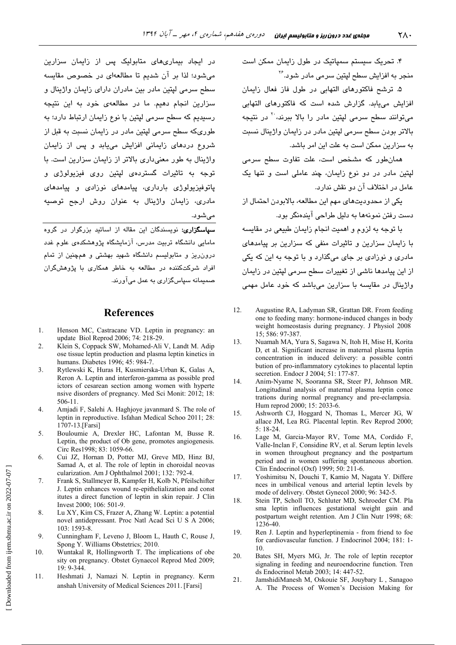۴. تحریک سیستم سمپاتیک در طول زایمان ممکن است منحر به افزایش سطح لیتین سرمے مادر شویہ<sup>۲۶</sup>

۵. ترشح فاکتورهای التهابی در طول فاز فعال زایمان افزایش میبابد. گزارش شده است که فاکتورهای التهابی می توانند سطح سرمی لیتین مادر را بالا ببرند، <sup>۲۰</sup> در نتیجه بالاتر بودن سطح سرمی لیتین مادر در زایمان واژینال نسبت به سزارین ممکن است به علت این امر باشد.

همانطور که مشخص است، علت تفاوت سطح سرمی لیتین مادر در دو نوع زایمان، چند عاملی است و تنها یک عامل در اختلاف آن دو نقش ندارد.

یکی از محدودیتهای مهم این مطالعه، بالابودن احتمال از دست رفتن نمونهها به دلیل طراحی آیندهنگر بود.

با توجه به لزوم و اهمیت انجام زایمان طبیعی در مقایسه با زایمان سزارین و تاثیرات منفی که سزارین بر پیامدهای مادری و نوزادی پر جای میگذارد و با توجه به این که یکی از این پیامدها ناشی از تغییرات سطح سرمی لپتین در زایمان واژینال در مقایسه با سزارین میباشد که خود عامل مهمی

- $12<sup>°</sup>$ Augustine RA, Ladyman SR, Grattan DR. From feeding one to feeding many: hormone-induced changes in body weight homeostasis during pregnancy. J Physiol 2008 15; 586: 97-387.
- Nuamah MA, Yura S, Sagawa N, Itoh H, Mise H, Korita  $13$ D, et al. Significant increase in maternal plasma leptin concentration in induced delivery: a possible contri bution of pro-inflammatory cytokines to placental leptin secretion. Endocr J 2004; 51: 177-87.
- $14$ Anim-Nyame N, Sooranna SR, Steer PJ, Johnson MR. Longitudinal analysis of maternal plasma leptin conce trations during normal pregnancy and pre-eclampsia. Hum reprod 2000; 15: 2033-6.
- 15. Ashworth CJ, Hoggard N, Thomas L, Mercer JG, W allace JM, Lea RG. Placental leptin. Rev Reprod 2000;  $5:18-24$ .
- Lage M, Garcia-Mayor RV, Tome MA, Cordido F, 16 Valle-Inclan F, Considine RV, et al. Serum leptin levels in women throughout pregnancy and the postpartum period and in women suffering spontaneous abortion. Clin Endocrinol (Oxf) 1999: 50: 211-6.
- 17. Yoshimitsu N, Douchi T, Kamio M, Nagata Y. Differe nces in umbilical venous and arterial leptin levels by mode of delivery. Obstet Gynecol 2000; 96: 342-5.
- 18. Stein TP, Scholl TO, Schluter MD, Schroeder CM. Pla sma leptin influences gestational weight gain and postpartum weight retention. Am J Clin Nutr 1998; 68: 1236-40.
- 19. Ren J. Leptin and hyperleptinemia - from friend to foe for cardiovascular function. J Endocrinol 2004; 181: 1- $10$
- 20. Bates SH, Myers MG, Jr. The role of leptin receptor signaling in feeding and neuroendocrine function. Tren ds Endocrinol Metab 2003; 14: 447-52.
- 21. JamshidiManesh M, Oskouie SF, Jouybary L, Sanagoo A. The Process of Women's Decision Making for

در ایجاد بیماریهای متابولیک پس از زایمان سزارین می شود؛ لذا در آن شدیم تا مطالعهای در خصوص مقایسه سطح سرمی لیتین مادر بین مادران دارای زایمان واژینال و سزارین انجام دهیم. ما در مطالعهی خود به این نتیجه رسیدیم که سطح سرمی لیتین با نوع زایمان ارتباط دارد؛ به طوریکه سطح سرمی لیتین مادر در زایمان نسبت به قبل از شروع دردهای زایمانی افزایش مییابد و پس از زایمان واژینال به طور معنیداری بالاتر از زایمان سزارین است. با توجه به تاثیرات گستردهی لیتین روی فیزیولوژی و پاتوفیزیولوژی بارداری، پیامدهای نوزادی و پیامدهای مادری، زایمان واژینال به عنوان روش ارجح توصیه مے شوں۔

<mark>سیاسگزاری:</mark> نویسندگان این مقاله از اساتید بزرگوار در گروه مامایی دانشگاه تربیت مدرس، آزمایشگاه پژوهشکدهی علوم غدد درون ریز و متابولیسم دانشگاه شهید بهشتی و همچنین از تمام افراد شرکتکننده در مطالعه به خاطر همکاری با پژوهشگران صمیمانه سپاسگزاری به عمل میآورند.

#### **References**

- 1. Henson MC, Castracane VD. Leptin in pregnancy: an update Biol Reprod 2006; 74: 218-29.
- $\mathfrak{D}$ Klein S, Coppack SW, Mohamed-Ali V, Landt M. Adip ose tissue leptin production and plasma leptin kinetics in humans. Diabetes 1996; 45: 984-7.
- 3. Rytlewski K, Huras H, Kusmierska-Urban K, Galas A, Reron A. Leptin and interferon-gamma as possible pred ictors of cesarean section among women with hyperte nsive disorders of pregnancy. Med Sci Monit: 2012: 18:  $506-11.$
- $\overline{4}$ Amjadi F, Salehi A. Haghjoye javanmard S. The role of leptin in reproductive. Isfahan Medical Schoo 2011; 28: 1707-13.[Farsi]
- Bouloumie A, Drexler HC, Lafontan M, Busse R. 5 Leptin, the product of Ob gene, promotes angiogenesis. Circ Res1998; 83: 1059-66.
- Cui JZ, Hornan D, Potter MJ, Greve MD, Hinz BJ, 6. Samad A, et al. The role of leptin in choroidal neovas cularization. Am J Ophthalmol 2001; 132: 792-4.
- $7.$ Frank S, Stallmeyer B, Kampfer H, Kolb N, Pfeilschifter J. Leptin enhances wound re-epithelialization and const itutes a direct function of leptin in skin repair. J Clin Invest 2000; 106: 501-9.
- 8. Lu XY, Kim CS, Frazer A, Zhang W. Leptin: a potential novel antidepressant. Proc Natl Acad Sci U S A 2006: 103: 1593-8.
- $9<sub>1</sub>$ Cunningham F, Leveno J, Bloom L, Hauth C, Rouse J, Spong Y. Williams Obstetrics; 2010.
- 10. Wuntakal R, Hollingworth T. The implications of obe sity on pregnancy. Obstet Gynaecol Reprod Med 2009;  $19:9 - 344$
- $11.$ Heshmati J, Namazi N. Leptin in pregnancy. Kerm anshah University of Medical Sciences 2011. [Farsi]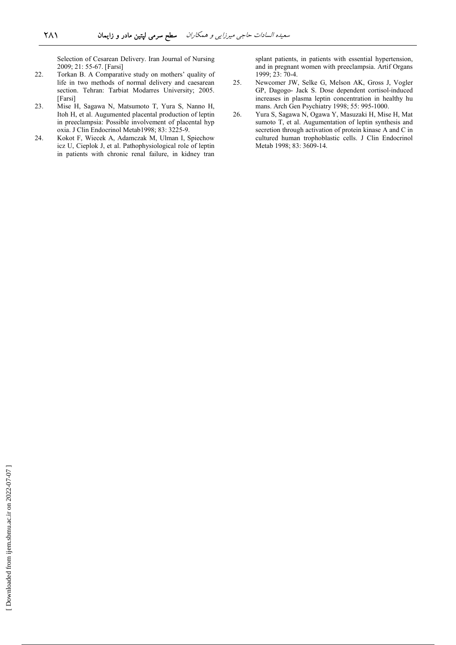Selection of Cesarean Delivery. Iran Journal of Nursing 2009; 21: 55-67. [Farsi]

- 22. Torkan B. A Comparative study on mothers' quality of life in two methods of normal delivery and caesarean section. Tehran: Tarbiat Modarres University; 2005. [Farsi]
- 23. Mise H, Sagawa N, Matsumoto T, Yura S, Nanno H, Itoh H, et al. Augumented placental production of leptin in preeclampsia: Possible involvement of placental hyp oxia. J Clin Endocrinol Metab1998; 83: 3225-9.
- 24. Kokot F, Wiecek A, Adamczak M, Ulman I, Spiechow icz U, Cieplok J, et al. Pathophysiological role of leptin in patients with chronic renal failure, in kidney tran

splant patients, in patients with essential hypertension, and in pregnant women with preeclampsia. Artif Organs 1999; 23: 70-4.

- 25. Newcomer JW, Selke G, Melson AK, Gross J, Vogler GP, Dagogo- Jack S. Dose dependent cortisol-induced increases in plasma leptin concentration in healthy hu mans. Arch Gen Psychiatry 1998; 55: 995-1000.
- 26. Yura S, Sagawa N, Ogawa Y, Masuzaki H, Mise H, Mat sumoto T, et al. Augumentation of leptin synthesis and secretion through activation of protein kinase A and C in cultured human trophoblastic cells. J Clin Endocrinol Metab 1998; 83: 3609-14.